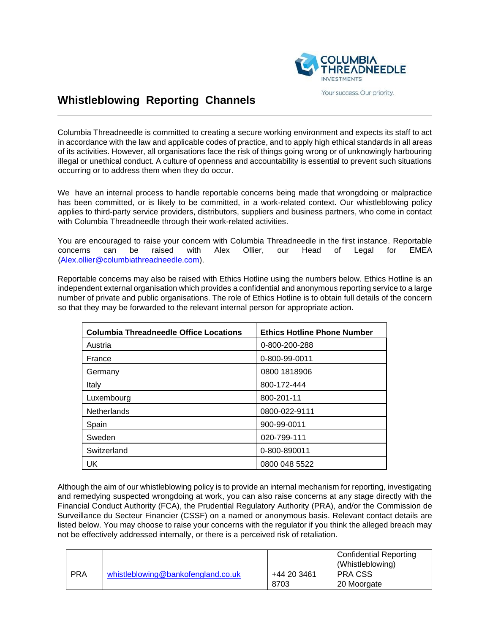

## Your success. Our priority.

## **Whistleblowing Reporting Channels**

Columbia Threadneedle is committed to creating a secure working environment and expects its staff to act in accordance with the law and applicable codes of practice, and to apply high ethical standards in all areas of its activities. However, all organisations face the risk of things going wrong or of unknowingly harbouring illegal or unethical conduct. A culture of openness and accountability is essential to prevent such situations occurring or to address them when they do occur.

We have an internal process to handle reportable concerns being made that wrongdoing or malpractice has been committed, or is likely to be committed, in a work-related context. Our whistleblowing policy applies to third-party service providers, distributors, suppliers and business partners, who come in contact with Columbia Threadneedle through their work-related activities.

You are encouraged to raise your concern with Columbia Threadneedle in the first instance. Reportable concerns can be raised with Alex Ollier, our Head of Legal for EMEA [\(Alex.ollier@columbiathreadneedle.com\)](mailto:Alex.ollier@columbiathreadneedle.com).

Reportable concerns may also be raised with Ethics Hotline using the numbers below. Ethics Hotline is an independent external organisation which provides a confidential and anonymous reporting service to a large number of private and public organisations. The role of Ethics Hotline is to obtain full details of the concern so that they may be forwarded to the relevant internal person for appropriate action.

| <b>Columbia Threadneedle Office Locations</b> | <b>Ethics Hotline Phone Number</b> |  |
|-----------------------------------------------|------------------------------------|--|
| Austria                                       | 0-800-200-288                      |  |
| France                                        | 0-800-99-0011                      |  |
| Germany                                       | 0800 1818906                       |  |
| Italy                                         | 800-172-444                        |  |
| Luxembourg                                    | 800-201-11                         |  |
| Netherlands                                   | 0800-022-9111                      |  |
| Spain                                         | 900-99-0011                        |  |
| Sweden                                        | 020-799-111                        |  |
| Switzerland                                   | 0-800-890011                       |  |
| UK                                            | 0800 048 5522                      |  |

Although the aim of our whistleblowing policy is to provide an internal mechanism for reporting, investigating and remedying suspected wrongdoing at work, you can also raise concerns at any stage directly with the Financial Conduct Authority (FCA), the Prudential Regulatory Authority (PRA), and/or the Commission de Surveillance du Secteur Financier (CSSF) on a named or anonymous basis. Relevant contact details are listed below. You may choose to raise your concerns with the regulator if you think the alleged breach may not be effectively addressed internally, or there is a perceived risk of retaliation.

|            |                                    |             | Confidential Reporting<br>(Whistleblowing) |
|------------|------------------------------------|-------------|--------------------------------------------|
| <b>PRA</b> | whistleblowing@bankofengland.co.uk | +44 20 3461 | I PRA CSS                                  |
|            |                                    | 8703        | 20 Moorgate                                |